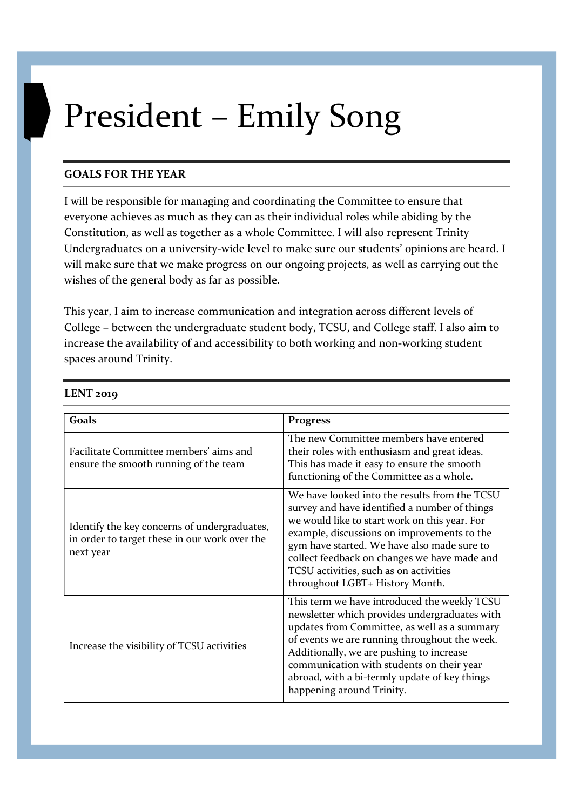## President – Emily Song

## GOALS FOR THE YEAR

I will be responsible for managing and coordinating the Committee to ensure that everyone achieves as much as they can as their individual roles while abiding by the Constitution, as well as together as a whole Committee. I will also represent Trinity Undergraduates on a university-wide level to make sure our students' opinions are heard. I will make sure that we make progress on our ongoing projects, as well as carrying out the wishes of the general body as far as possible.

This year, I aim to increase communication and integration across different levels of College – between the undergraduate student body, TCSU, and College staff. I also aim to increase the availability of and accessibility to both working and non-working student spaces around Trinity.

## LENT 2019

| Goals                                                                                                      | <b>Progress</b>                                                                                                                                                                                                                                                                                                                                                            |
|------------------------------------------------------------------------------------------------------------|----------------------------------------------------------------------------------------------------------------------------------------------------------------------------------------------------------------------------------------------------------------------------------------------------------------------------------------------------------------------------|
| Facilitate Committee members' aims and<br>ensure the smooth running of the team                            | The new Committee members have entered<br>their roles with enthusiasm and great ideas.<br>This has made it easy to ensure the smooth<br>functioning of the Committee as a whole.                                                                                                                                                                                           |
| Identify the key concerns of undergraduates,<br>in order to target these in our work over the<br>next year | We have looked into the results from the TCSU<br>survey and have identified a number of things<br>we would like to start work on this year. For<br>example, discussions on improvements to the<br>gym have started. We have also made sure to<br>collect feedback on changes we have made and<br>TCSU activities, such as on activities<br>throughout LGBT+ History Month. |
| Increase the visibility of TCSU activities                                                                 | This term we have introduced the weekly TCSU<br>newsletter which provides undergraduates with<br>updates from Committee, as well as a summary<br>of events we are running throughout the week.<br>Additionally, we are pushing to increase<br>communication with students on their year<br>abroad, with a bi-termly update of key things<br>happening around Trinity.      |